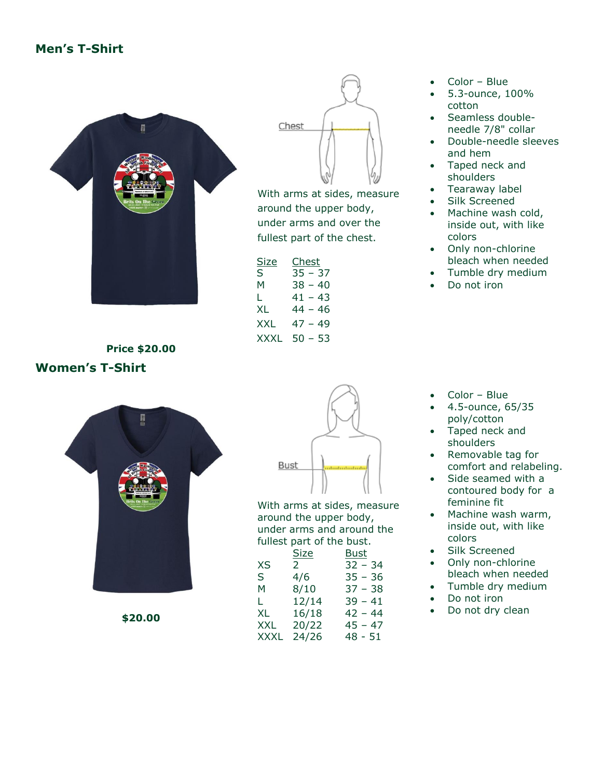## **Men's T-Shirt**



Chest

With arms at sides, measure around the upper body, under arms and over the fullest part of the chest.

| Size | Chest     |
|------|-----------|
| S    | $35 - 37$ |
| м    | $38 - 40$ |
| L    | $41 - 43$ |
| XL   | 44 – 46   |
| XXL  | $47 - 49$ |
| XXXI | $50 - 53$ |

• Color – Blue

- 5.3-ounce, 100% cotton
- Seamless doubleneedle 7/8" collar
- Double-needle sleeves and hem
- Taped neck and shoulders
- Tearaway label
- Silk Screened
- Machine wash cold, inside out, with like colors
- Only non-chlorine bleach when needed
- Tumble dry medium
- Do not iron

**Price \$20.00 Women's T-Shirt**



**\$20.00**



With arms at sides, measure around the upper body, under arms and around the fullest part of the bust.

|             | Size           | <u>Bust</u> |
|-------------|----------------|-------------|
| XS          | $\mathsf{2}^-$ | $32 - 34$   |
| S.          | 4/6            | $35 - 36$   |
| м           | 8/10           | $37 - 38$   |
| L.          | 12/14          | $39 - 41$   |
| XL.         | 16/18          | 42 - 44     |
| XXL         | 20/22          | $45 - 47$   |
| <b>XXXL</b> | 24/26          | $48 - 51$   |

- Color Blue
- 4.5-ounce, 65/35 poly/cotton
- Taped neck and shoulders
- Removable tag for comfort and relabeling.
- Side seamed with a contoured body for a feminine fit
- Machine wash warm, inside out, with like colors
- Silk Screened
- Only non-chlorine bleach when needed
- Tumble dry medium
- Do not iron
- Do not dry clean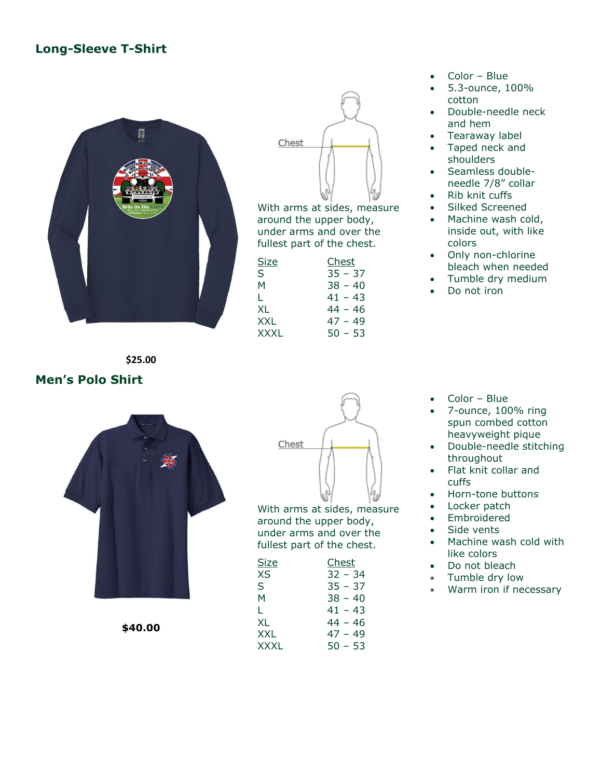### **Long-Sleeve T-Shirt**





With arms at sides, measure around the upper body, under arms and over the fullest part of the chest.

| Size        | Chest     |
|-------------|-----------|
| S           | $35 - 37$ |
| м           | $38 - 40$ |
| L           | $41 - 43$ |
| XL          | 44 – 46   |
| XXL         | $47 - 49$ |
| <b>XXXL</b> | $50 - 53$ |

- Color Blue
- 5.3-ounce, 100% cotton
- Double-needle neck and hem
- Tearaway label
- Taped neck and shoulders
- Seamless doubleneedle 7/8" collar
- Rib knit cuffs
- Silked Screened
- Machine wash cold, inside out, with like colors
- Only non-chlorine bleach when needed
- Tumble dry medium
- Do not iron

**\$25.00**

#### **Men's Polo Shirt**



**\$40.00**



With arms at sides, measure around the upper body, under arms and over the fullest part of the chest.

| <b>Size</b> | Chest     |
|-------------|-----------|
| XS          | $32 - 34$ |
| S           | $35 - 37$ |
| м           | $38 - 40$ |
| L           | 41 – 43   |
| XL          | 44 – 46   |
| <b>XXL</b>  | $47 - 49$ |
| XXXL        | $50 - 53$ |
|             |           |

- Color Blue
- 7-ounce, 100% ring spun combed cotton heavyweight pique
- Double-needle stitching throughout
- Flat knit collar and cuffs
- Horn-tone buttons
- Locker patch
- **Embroidered**
- Side vents
- Machine wash cold with like colors
- Do not bleach
- Tumble dry low
- Warm iron if necessary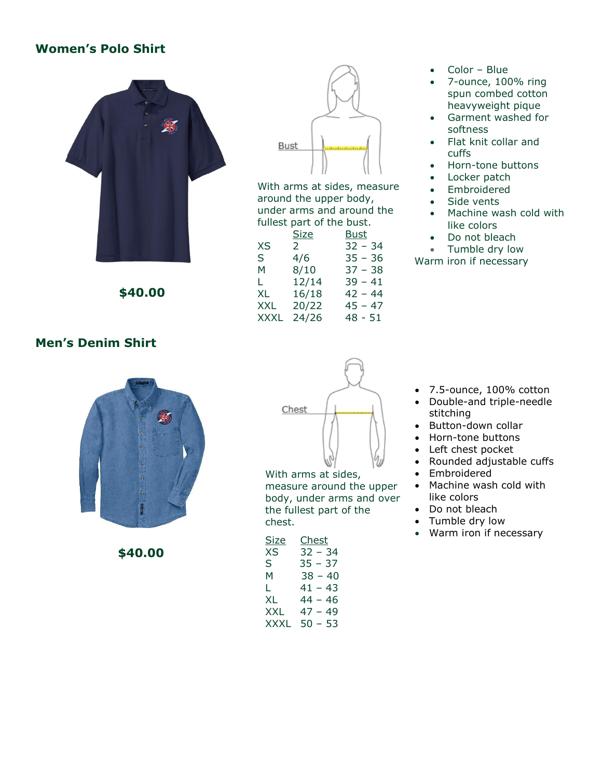#### **Women's Polo Shirt**



**\$40.00**



With arms at sides, measure around the upper body, under arms and around the fullest part of the bust.

|      | Size  | Bust      |
|------|-------|-----------|
| XS   | 2     | $32 - 34$ |
| S.   | 4/6   | $35 - 36$ |
| м    | 8/10  | $37 - 38$ |
| L.   | 12/14 | $39 - 41$ |
| XL.  | 16/18 | 42 - 44   |
| XXL. | 20/22 | 45 – 47   |
| XXXL | 24/26 | $48 - 51$ |

- Color Blue
- 7-ounce, 100% ring spun combed cotton heavyweight pique
- Garment washed for softness
- Flat knit collar and cuffs
- Horn-tone buttons
- Locker patch
- Embroidered
- Side vents
- Machine wash cold with like colors
- Do not bleach
- Tumble dry low

Warm iron if necessary

# **Men's Denim Shirt**



**\$40.00**



With arms at sides, measure around the upper body, under arms and over the fullest part of the chest.

| <u>Size</u> | Chest     |
|-------------|-----------|
| XS          | 32 - 34   |
| S.          | 35 – 37   |
| M           | $38 - 40$ |
| L.          | $41 - 43$ |
| XL          | $44 - 46$ |
| XXL         | $47 - 49$ |
| XXXL        | 50 – 53   |

- 7.5-ounce, 100% cotton
- Double-and triple-needle stitching
- Button-down collar
- Horn-tone buttons
- Left chest pocket
- Rounded adjustable cuffs
- Embroidered
- Machine wash cold with like colors
- Do not bleach
- Tumble dry low
- Warm iron if necessary